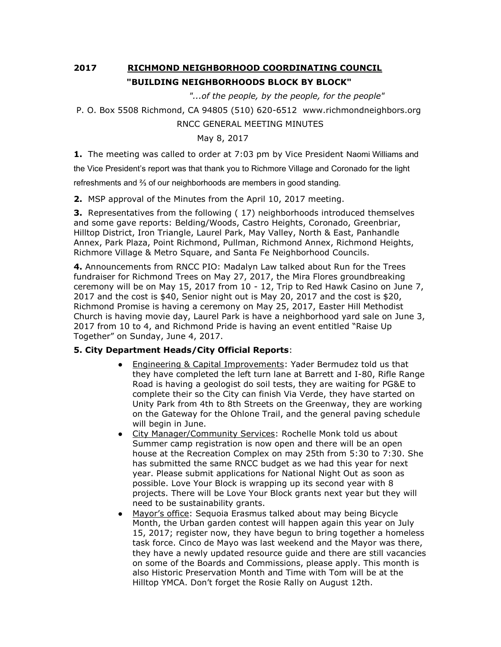## **2017 RICHMOND NEIGHBORHOOD COORDINATING COUNCIL "BUILDING NEIGHBORHOODS BLOCK BY BLOCK"**

 *"...of the people, by the people, for the people"*

P. O. Box 5508 Richmond, CA 94805 (510) 620-6512 www.richmondneighbors.org

RNCC GENERAL MEETING MINUTES

May 8, 2017

**1.** The meeting was called to order at 7:03 pm by Vice President Naomi Williams and

the Vice President's report was that thank you to Richmore Village and Coronado for the light

refreshments and ⅔ of our neighborhoods are members in good standing.

**2.** MSP approval of the Minutes from the April 10, 2017 meeting.

**3.** Representatives from the following (17) neighborhoods introduced themselves and some gave reports: Belding/Woods, Castro Heights, Coronado, Greenbriar, Hilltop District, Iron Triangle, Laurel Park, May Valley, North & East, Panhandle Annex, Park Plaza, Point Richmond, Pullman, Richmond Annex, Richmond Heights, Richmore Village & Metro Square, and Santa Fe Neighborhood Councils.

**4.** Announcements from RNCC PIO: Madalyn Law talked about Run for the Trees fundraiser for Richmond Trees on May 27, 2017, the Mira Flores groundbreaking ceremony will be on May 15, 2017 from 10 - 12, Trip to Red Hawk Casino on June 7, 2017 and the cost is \$40, Senior night out is May 20, 2017 and the cost is \$20, Richmond Promise is having a ceremony on May 25, 2017, Easter Hill Methodist Church is having movie day, Laurel Park is have a neighborhood yard sale on June 3, 2017 from 10 to 4, and Richmond Pride is having an event entitled "Raise Up Together" on Sunday, June 4, 2017.

## **5. City Department Heads/City Official Reports**:

- Engineering & Capital Improvements: Yader Bermudez told us that they have completed the left turn lane at Barrett and I-80, Rifle Range Road is having a geologist do soil tests, they are waiting for PG&E to complete their so the City can finish Via Verde, they have started on Unity Park from 4th to 8th Streets on the Greenway, they are working on the Gateway for the Ohlone Trail, and the general paving schedule will begin in June.
- City Manager/Community Services: Rochelle Monk told us about Summer camp registration is now open and there will be an open house at the Recreation Complex on may 25th from 5:30 to 7:30. She has submitted the same RNCC budget as we had this year for next year. Please submit applications for National Night Out as soon as possible. Love Your Block is wrapping up its second year with 8 projects. There will be Love Your Block grants next year but they will need to be sustainability grants.
- Mayor's office: Sequoia Erasmus talked about may being Bicycle Month, the Urban garden contest will happen again this year on July 15, 2017; register now, they have begun to bring together a homeless task force. Cinco de Mayo was last weekend and the Mayor was there, they have a newly updated resource guide and there are still vacancies on some of the Boards and Commissions, please apply. This month is also Historic Preservation Month and Time with Tom will be at the Hilltop YMCA. Don't forget the Rosie Rally on August 12th.